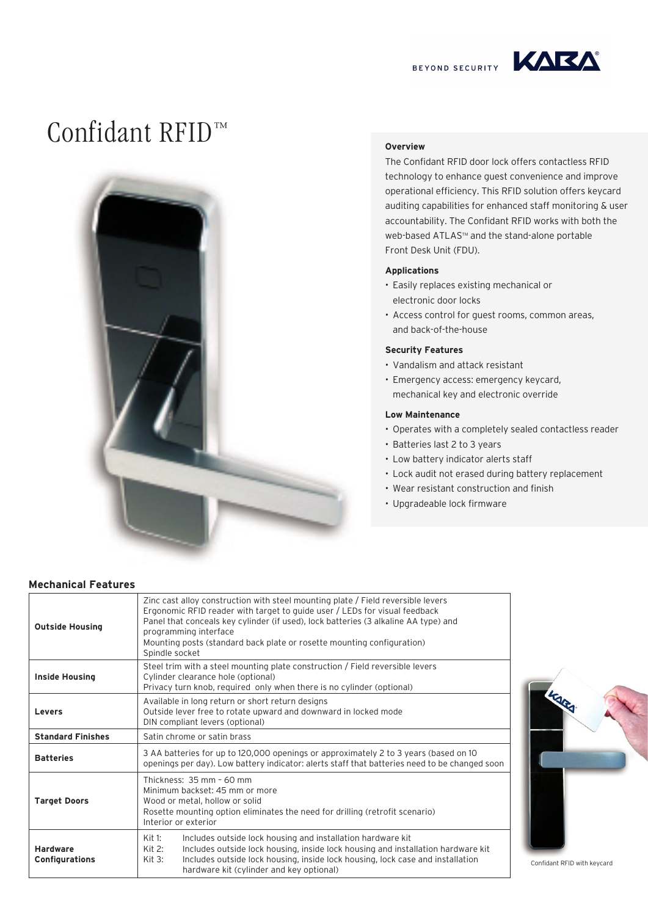



# Confidant RFID™



### **Overview**

The Confidant RFID door lock offers contactless RFID technology to enhance guest convenience and improve operational efficiency. This RFID solution offers keycard auditing capabilities for enhanced staff monitoring & user accountability. The Confidant RFID works with both the web-based ATLAS™ and the stand-alone portable Front Desk Unit (FDU).

#### **Applications**

- Easily replaces existing mechanical or electronic door locks
- Access control for guest rooms, common areas, and back-of-the-house

#### **Security Features**

- Vandalism and attack resistant
- Emergency access: emergency keycard, mechanical key and electronic override

#### **Low Maintenance**

- Operates with a completely sealed contactless reader
- Batteries last 2 to 3 years
- Low battery indicator alerts staff
- Lock audit not erased during battery replacement
- Wear resistant construction and finish
- Upgradeable lock firmware

#### **Mechanical Features**

| <b>Outside Housing</b>                   | Zinc cast alloy construction with steel mounting plate / Field reversible levers<br>Ergonomic RFID reader with target to guide user / LEDs for visual feedback<br>Panel that conceals key cylinder (if used), lock batteries (3 alkaline AA type) and<br>programming interface<br>Mounting posts (standard back plate or rosette mounting configuration)<br>Spindle socket |                             |
|------------------------------------------|----------------------------------------------------------------------------------------------------------------------------------------------------------------------------------------------------------------------------------------------------------------------------------------------------------------------------------------------------------------------------|-----------------------------|
| <b>Inside Housing</b>                    | Steel trim with a steel mounting plate construction / Field reversible levers<br>Cylinder clearance hole (optional)<br>Privacy turn knob, required only when there is no cylinder (optional)                                                                                                                                                                               |                             |
| Levers                                   | Available in long return or short return designs<br>Outside lever free to rotate upward and downward in locked mode<br>DIN compliant levers (optional)                                                                                                                                                                                                                     |                             |
| <b>Standard Finishes</b>                 | Satin chrome or satin brass                                                                                                                                                                                                                                                                                                                                                |                             |
| <b>Batteries</b>                         | 3 AA batteries for up to 120,000 openings or approximately 2 to 3 years (based on 10<br>openings per day). Low battery indicator: alerts staff that batteries need to be changed soon                                                                                                                                                                                      |                             |
| <b>Target Doors</b>                      | Thickness: 35 mm - 60 mm<br>Minimum backset: 45 mm or more<br>Wood or metal, hollow or solid<br>Rosette mounting option eliminates the need for drilling (retrofit scenario)<br>Interior or exterior                                                                                                                                                                       |                             |
| <b>Hardware</b><br><b>Configurations</b> | Kit 1:<br>Includes outside lock housing and installation hardware kit<br>Includes outside lock housing, inside lock housing and installation hardware kit<br>Kit $2:$<br>Includes outside lock housing, inside lock housing, lock case and installation<br>Kit $3:$<br>hardware kit (cylinder and key optional)                                                            | Confidant RFID with keycard |